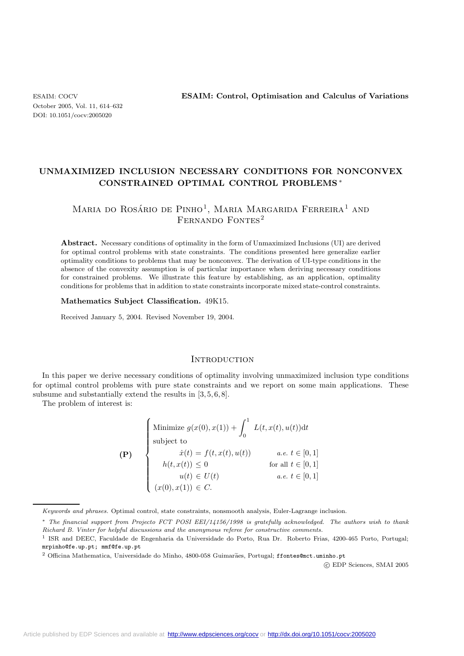October 2005, Vol. 11, 614–632 DOI: 10.1051/cocv:2005020

ESAIM: COCV **ESAIM: Control, Optimisation and Calculus of Variations**

# **UNMAXIMIZED INCLUSION NECESSARY CONDITIONS FOR NONCONVEX CONSTRAINED OPTIMAL CONTROL PROBLEMS** ∗

# Maria do Rosário de Pinho<sup>1</sup>, Maria Margarida Ferreira<sup>1</sup> and FERNANDO FONTES<sup>2</sup>

**Abstract.** Necessary conditions of optimality in the form of Unmaximized Inclusions (UI) are derived for optimal control problems with state constraints. The conditions presented here generalize earlier optimality conditions to problems that may be nonconvex. The derivation of UI-type conditions in the absence of the convexity assumption is of particular importance when deriving necessary conditions for constrained problems. We illustrate this feature by establishing, as an application, optimality conditions for problems that in addition to state constraints incorporate mixed state-control constraints.

#### **Mathematics Subject Classification.** 49K15.

Received January 5, 2004. Revised November 19, 2004.

### **INTRODUCTION**

In this paper we derive necessary conditions of optimality involving unmaximized inclusion type conditions for optimal control problems with pure state constraints and we report on some main applications. These subsume and substantially extend the results in  $[3, 5, 6, 8]$ .

The problem of interest is:

|     | $\label{eq:optimal} \left\{ \begin{array}{ll} \mbox{Minimize } g(x(0),x(1)) + \int_0^1 \ L(t,x(t),u(t)) \mathrm{d}t \\ \mbox{subject to} \\ \dot{x}(t) = f(t,x(t),u(t)) \qquad \quad a.e.\ t \in [0, \\ h(t,x(t)) \leq 0 \qquad \qquad \text{for all } t \in [0, \\ u(t) \in U(t) \qquad \qquad a.e.\ t \in [0, \\ (x(0),x(1)) \in C. \end{array} \right.$ |                            |
|-----|------------------------------------------------------------------------------------------------------------------------------------------------------------------------------------------------------------------------------------------------------------------------------------------------------------------------------------------------------------|----------------------------|
| (P) |                                                                                                                                                                                                                                                                                                                                                            | <i>a.e.</i> $t \in [0, 1]$ |
|     |                                                                                                                                                                                                                                                                                                                                                            | for all $t \in [0,1]$      |
|     |                                                                                                                                                                                                                                                                                                                                                            | <i>a.e.</i> $t \in [0, 1]$ |
|     |                                                                                                                                                                                                                                                                                                                                                            |                            |

Keywords and phrases. Optimal control, state constraints, nonsmooth analysis, Euler-Lagrange inclusion.

-c EDP Sciences, SMAI 2005

<sup>∗</sup> The financial support from Projecto FCT POSI EEI/14156/1998 is gratefully acknowledged. The authors wish to thank Richard B. Vinter for helpful discussions and the anonymous referee for constructive comments.

<sup>1</sup> ISR and DEEC, Faculdade de Engenharia da Universidade do Porto, Rua Dr. Roberto Frias, 4200-465 Porto, Portugal; mrpinho@fe.up.pt; mmf@fe.up.pt

<sup>&</sup>lt;sup>2</sup> Officina Mathematica, Universidade do Minho, 4800-058 Guimarães, Portugal; ffontes@mct.uminho.pt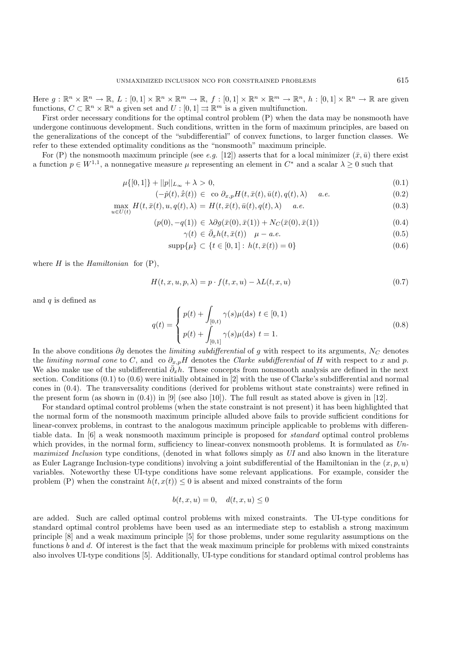Here  $g: \mathbb{R}^n \times \mathbb{R}^n \to \mathbb{R}, L: [0,1] \times \mathbb{R}^n \times \mathbb{R}^m \to \mathbb{R}, f: [0,1] \times \mathbb{R}^n \times \mathbb{R}^m \to \mathbb{R}^n, h: [0,1] \times \mathbb{R}^n \to \mathbb{R}$  are given functions,  $C \subset \mathbb{R}^n \times \mathbb{R}^n$  a given set and  $U : [0,1] \rightrightarrows \mathbb{R}^m$  is a given multifunction.

First order necessary conditions for the optimal control problem (P) when the data may be nonsmooth have undergone continuous development. Such conditions, written in the form of maximum principles, are based on the generalizations of the concept of the "subdifferential" of convex functions, to larger function classes. We refer to these extended optimality conditions as the "nonsmooth" maximum principle.

For (P) the nonsmooth maximum principle (see *e.g.* [12]) asserts that for a local minimizer  $(\bar{x}, \bar{u})$  there exist a function  $p \in W^{1,1}$ , a nonnegative measure  $\mu$  representing an element in  $C^*$  and a scalar  $\lambda \geq 0$  such that

$$
\mu\{[0,1]\} + ||p||_{L_{\infty}} + \lambda > 0,\tag{0.1}
$$

$$
(-\dot{p}(t), \dot{\bar{x}}(t)) \in \text{co } \partial_{x,p} H(t, \bar{x}(t), \bar{u}(t), q(t), \lambda) \quad a.e. \tag{0.2}
$$

$$
\max_{u \in U(t)} H(t, \bar{x}(t), u, q(t), \lambda) = H(t, \bar{x}(t), \bar{u}(t), q(t), \lambda) \quad a.e. \tag{0.3}
$$

$$
(p(0), -q(1)) \in \lambda \partial g(\bar{x}(0), \bar{x}(1)) + N_C(\bar{x}(0), \bar{x}(1))
$$
\n(0.4)

$$
\gamma(t) \in \bar{\partial}_x h(t, \bar{x}(t)) \quad \mu - a.e. \tag{0.5}
$$

$$
supp\{\mu\} \subset \{t \in [0,1]: h(t, \bar{x}(t)) = 0\}
$$
\n(0.6)

where H is the *Hamiltonian* for (P),

$$
H(t, x, u, p, \lambda) = p \cdot f(t, x, u) - \lambda L(t, x, u) \tag{0.7}
$$

and  $q$  is defined as

$$
q(t) = \begin{cases} p(t) + \int_{[0,t)} \gamma(s)\mu(ds) \ t \in [0,1) \\ p(t) + \int_{[0,1]} \gamma(s)\mu(ds) \ t = 1. \end{cases}
$$
 (0.8)

In the above conditions ∂g denotes the *limiting subdifferential* of g with respect to its arguments,  $N_C$  denotes the  $C$  and so  $\partial$ , and so  $\partial$ , and so  $\partial$ , and so  $\partial$ , and so  $\partial$ , and so  $\partial$ , and so  $\partial$ , and so the *limiting normal cone* to C, and co  $\partial_{x,p}H$  denotes the *Clarke subdifferential* of H with respect to x and p. We also make use of the subdifferential  $\partial_x h$ . These concepts from nonsmooth analysis are defined in the next section. Conditions (0.1) to (0.6) were initially obtained in [2] with the use of Clarke's subdifferential and normal cones in (0.4). The transversality conditions (derived for problems without state constraints) were refined in the present form (as shown in  $(0.4)$ ) in [9] (see also [10]). The full result as stated above is given in [12].

For standard optimal control problems (when the state constraint is not present) it has been highlighted that the normal form of the nonsmooth maximum principle alluded above fails to provide sufficient conditions for linear-convex problems, in contrast to the analogous maximum principle applicable to problems with differentiable data. In [6] a weak nonsmooth maximum principle is proposed for *standard* optimal control problems which provides, in the normal form, sufficiency to linear-convex nonsmooth problems. It is formulated as *Unmaximized Inclusion* type conditions, (denoted in what follows simply as *UI* and also known in the literature as Euler Lagrange Inclusion-type conditions) involving a joint subdifferential of the Hamiltonian in the  $(x, p, u)$ variables. Noteworthy these UI-type conditions have some relevant applications. For example, consider the problem (P) when the constraint  $h(t, x(t)) \leq 0$  is absent and mixed constraints of the form

$$
b(t, x, u) = 0, \quad d(t, x, u) \le 0
$$

are added. Such are called optimal control problems with mixed constraints. The UI-type conditions for standard optimal control problems have been used as an intermediate step to establish a strong maximum principle [8] and a weak maximum principle [5] for those problems, under some regularity assumptions on the functions b and d. Of interest is the fact that the weak maximum principle for problems with mixed constraints also involves UI-type conditions [5]. Additionally, UI-type conditions for standard optimal control problems has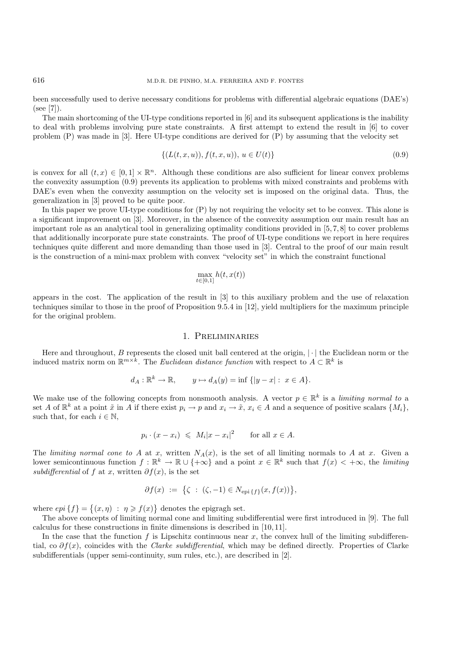been successfully used to derive necessary conditions for problems with differential algebraic equations (DAE's) (see [7]).

The main shortcoming of the UI-type conditions reported in [6] and its subsequent applications is the inability to deal with problems involving pure state constraints. A first attempt to extend the result in [6] to cover problem (P) was made in [3]. Here UI-type conditions are derived for (P) by assuming that the velocity set

$$
\{(L(t, x, u)), f(t, x, u)), u \in U(t)\}\tag{0.9}
$$

is convex for all  $(t, x) \in [0, 1] \times \mathbb{R}^n$ . Although these conditions are also sufficient for linear convex problems the convexity assumption (0.9) prevents its application to problems with mixed constraints and problems with DAE's even when the convexity assumption on the velocity set is imposed on the original data. Thus, the generalization in [3] proved to be quite poor.

In this paper we prove UI-type conditions for (P) by not requiring the velocity set to be convex. This alone is a significant improvement on [3]. Moreover, in the absence of the convexity assumption our main result has an important role as an analytical tool in generalizing optimality conditions provided in [5, 7, 8] to cover problems that additionally incorporate pure state constraints. The proof of UI-type conditions we report in here requires techniques quite different and more demanding than those used in [3]. Central to the proof of our main result is the construction of a mini-max problem with convex "velocity set" in which the constraint functional

$$
\max_{t \in [0,1]} h(t, x(t))
$$

appears in the cost. The application of the result in [3] to this auxiliary problem and the use of relaxation techniques similar to those in the proof of Proposition 9.5.4 in [12], yield multipliers for the maximum principle for the original problem.

#### 1. Preliminaries

Here and throughout,  $B$  represents the closed unit ball centered at the origin,  $|\cdot|$  the Euclidean norm or the induced matrix norm on  $\mathbb{R}^{m \times k}$ . The *Euclidean distance function* with respect to  $A \subset \mathbb{R}^k$  is

$$
d_A: \mathbb{R}^k \to \mathbb{R}, \qquad y \mapsto d_A(y) = \inf \{|y - x| : x \in A\}.
$$

We make use of the following concepts from nonsmooth analysis. A vector  $p \in \mathbb{R}^k$  is a *limiting normal to* a set A of  $\mathbb{R}^k$  at a point  $\tilde{x}$  in A if there exist  $p_i \to p$  and  $x_i \to \tilde{x}$ ,  $x_i \in A$  and a sequence of positive scalars  $\{M_i\}$ , such that, for each  $i \in \mathbb{N}$ ,

$$
p_i \cdot (x - x_i) \leq M_i |x - x_i|^2 \quad \text{for all } x \in A.
$$

The *limiting normal cone to* A at x, written  $N_A(x)$ , is the set of all limiting normals to A at x. Given a lower semicontinuous function  $f : \mathbb{R}^k \to \mathbb{R} \cup \{+\infty\}$  and a point  $x \in \mathbb{R}^k$  such that  $f(x) < +\infty$ , the *limiting subdifferential* of f at x, written  $\partial f(x)$ , is the set

$$
\partial f(x) := \{ \zeta : (\zeta, -1) \in N_{\text{epi} \{f\}}(x, f(x)) \},
$$

where  $epi\{f\} = \{(x, \eta) : \eta \geqslant f(x)\}\$  denotes the epigragh set.

The above concepts of limiting normal cone and limiting subdifferential were first introduced in [9]. The full calculus for these constructions in finite dimensions is described in [10, 11].

In the case that the function f is Lipschitz continuous near  $x$ , the convex hull of the limiting subdifferential, co ∂f(x), coincides with the *Clarke subdifferential*, which may be defined directly. Properties of Clarke subdifferentials (upper semi-continuity, sum rules, etc.), are described in [2].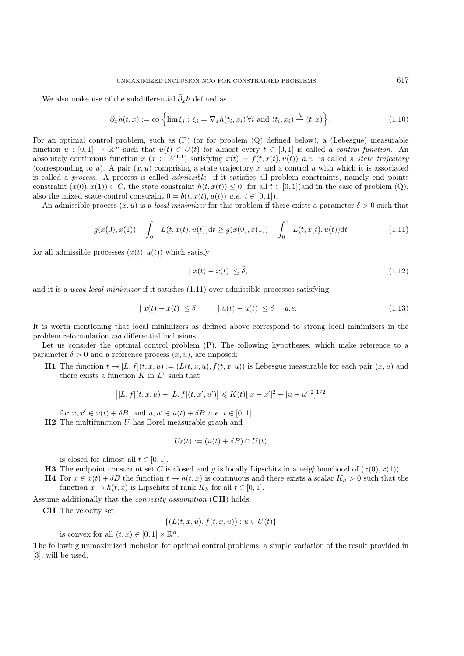We also make use of the subdifferential  $\bar{\partial}_x h$  defined as

$$
\bar{\partial}_x h(t,x) := \text{co} \left\{ \lim \xi_i : \xi_i = \nabla_x h(t_i, x_i) \, \forall i \text{ and } (t_i, x_i) \stackrel{h}{\to} (t, x) \right\}. \tag{1.10}
$$

For an optimal control problem, such as (P) (or for problem (Q) defined below), a (Lebesgue) measurable function  $u : [0,1] \to \mathbb{R}^m$  such that  $u(t) \in U(t)$  for almost every  $t \in [0,1]$  is called a *control function*. An absolutely continuous function  $x (x \in W^{1,1})$  satisfying  $\dot{x}(t) = f(t, x(t), u(t))$  *a.e.* is called a *state trajectory* (corresponding to u). A pair  $(x, u)$  comprising a state trajectory x and a control u with which it is associated is called a *process*. A process is called *admissible* if it satisfies all problem constraints, namely end points constraint  $(x(0), x(1)) \in C$ , the state constraint  $h(t, x(t)) \leq 0$  for all  $t \in [0, 1]$  (and in the case of problem  $(Q)$ , also the mixed state-control constraint  $0 = b(t, x(t), u(t))$  *a.e.*  $t \in [0, 1]$ .

An admissible process  $(\bar{x}, \bar{u})$  is a *local minimizer* for this problem if there exists a parameter  $\bar{\delta} > 0$  such that

$$
g(x(0), x(1)) + \int_0^1 L(t, x(t), u(t))dt \ge g(\bar{x}(0), \bar{x}(1)) + \int_0^1 L(t, \bar{x}(t), \bar{u}(t))dt
$$
\n(1.11)

for all admissible processes  $(x(t), u(t))$  which satisfy

$$
|x(t) - \bar{x}(t)| \le \bar{\delta},\tag{1.12}
$$

and it is a *weak local minimizer* if it satisfies (1.11) over admissible processes satisfying

$$
|x(t) - \bar{x}(t)| \le \bar{\delta}, \qquad |u(t) - \bar{u}(t)| \le \bar{\delta} \quad a.e. \tag{1.13}
$$

It is worth mentioning that local minimizers as defined above correspond to *s*trong local minimizers in the problem reformulation *via* differential inclusions.

Let us consider the optimal control problem  $(P)$ . The following hypotheses, which make reference to a parameter  $\delta > 0$  and a reference process  $(\bar{x}, \bar{u})$ , are imposed:

**H1** The function  $t \to [L, f](t, x, u) := (L(t, x, u), f(t, x, u))$  is Lebesgue measurable for each pair  $(x, u)$  and there exists a function K in  $L^1$  such that

$$
|[L, f](t, x, u) - [L, f](t, x', u')| \le K(t)[|x - x'|^2 + |u - u'|^2]^{1/2}
$$

for  $x, x' \in \overline{x}(t) + \delta B$ , and  $u, u' \in \overline{u}(t) + \delta B$  *a.e.*  $t \in [0, 1]$ . **H2** The multifunction U has Borel measurable graph and

$$
U_{\delta}(t) := (\bar{u}(t) + \delta B) \cap U(t)
$$

is closed for almost all  $t \in [0, 1]$ .

- **H3** The endpoint constraint set C is closed and g is locally Lipschitz in a neighbourhood of  $(\bar{x}(0), \bar{x}(1))$ .
- **H4** For  $x \in \bar{x}(t) + \delta B$  the function  $t \to h(t, x)$  is continuous and there exists a scalar  $K_h > 0$  such that the function  $x \to h(t, x)$  is Lipschitz of rank  $K_h$  for all  $t \in [0, 1]$ .

Assume additionally that the *convexity assumption* (**CH**) holds:

**CH** The velocity set

$$
\{(L(t, x, u), f(t, x, u)) : u \in U(t)\}\
$$

is convex for all  $(t, x) \in [0, 1] \times \mathbb{R}^n$ .

The following unmaximized inclusion for optimal control problems, a simple variation of the result provided in [3], will be used.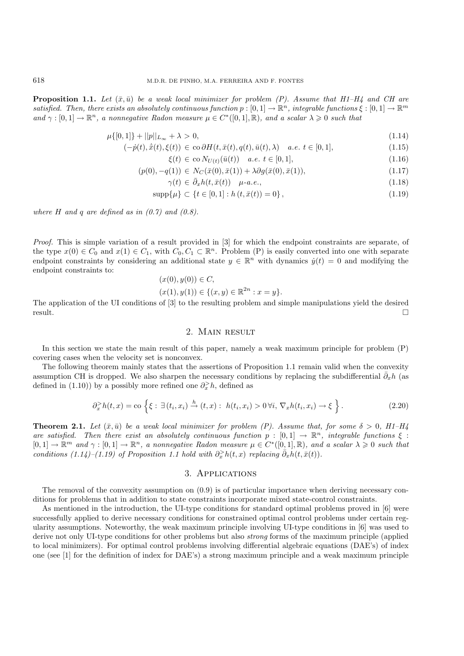**Proposition 1.1.** Let  $(\bar{x}, \bar{u})$  be a weak local minimizer for problem (P). Assume that H1–H4 and CH are *satisfied. Then, there exists an absolutely continuous function*  $p : [0,1] \to \mathbb{R}^n$ *, integrable functions*  $\xi : [0,1] \to \mathbb{R}^m$ *and*  $\gamma : [0, 1] \to \mathbb{R}^n$ , a nonnegative Radon measure  $\mu \in C^*([0, 1], \mathbb{R})$ , and a scalar  $\lambda \geq 0$  such that

$$
\mu\{[0,1]\} + ||p||_{L_{\infty}} + \lambda > 0,\tag{1.14}
$$

$$
(-\dot{p}(t), \dot{\bar{x}}(t), \xi(t)) \in \text{co}\,\partial H(t, \bar{x}(t), q(t), \bar{u}(t), \lambda) \quad a.e. \ t \in [0, 1], \tag{1.15}
$$

$$
\xi(t) \in \text{co}\,N_{U(t)}(\bar{u}(t)) \quad a.e. \ t \in [0,1],\tag{1.16}
$$

$$
(p(0), -q(1)) \in N_C(\bar{x}(0), \bar{x}(1)) + \lambda \partial g(\bar{x}(0), \bar{x}(1)), \tag{1.17}
$$

$$
\gamma(t) \in \partial_x h(t, \bar{x}(t)) \quad \mu\text{-}a.e., \tag{1.18}
$$

$$
\text{supp}\{\mu\} \subset \{t \in [0,1] : h(t, \bar{x}(t)) = 0\},\tag{1.19}
$$

*where*  $H$  *and*  $q$  *are defined as in*  $(0.7)$  *and*  $(0.8)$ .

*Proof.* This is simple variation of a result provided in [3] for which the endpoint constraints are separate, of the type  $x(0) \in C_0$  and  $x(1) \in C_1$ , with  $C_0, C_1 \subset \mathbb{R}^n$ . Problem (P) is easily converted into one with separate endpoint constraints by considering an additional state  $y \in \mathbb{R}^n$  with dynamics  $\dot{y}(t) = 0$  and modifying the endpoint constraints to:

$$
(x(0), y(0)) \in C,
$$

$$
(x(1), y(1)) \in \{(x, y) \in \mathbb{R}^{2n} : x = y\}.
$$

The application of the UI conditions of [3] to the resulting problem and simple manipulations yield the desired result.

## 2. Main result

In this section we state the main result of this paper, namely a weak maximum principle for problem (P) covering cases when the velocity set is nonconvex.

The following theorem mainly states that the assertions of Proposition 1.1 remain valid when the convexity assumption CH is dropped. We also sharpen the necessary conditions by replacing the subdifferential  $\bar{\partial}_x h$  (as defined in (1.10)) by a possibly more refined one  $\partial_x^> h$ , defined as

$$
\partial_x^> h(t,x) = \text{co}\left\{\xi : \exists (t_i, x_i) \stackrel{h}{\to} (t,x) : h(t_i, x_i) > 0 \,\forall i, \,\nabla_x h(t_i, x_i) \to \xi\right\}.\tag{2.20}
$$

**Theorem 2.1.** *Let*  $(\bar{x}, \bar{u})$  *be a weak local minimizer for problem (P). Assume that, for some*  $\delta > 0$ , *H1–H4 are satisfied. Then there exist an absolutely continuous function*  $p : [0,1] \rightarrow \mathbb{R}^n$ *, integrable functions*  $\xi$ :  $[0,1] \to \mathbb{R}^m$  and  $\gamma : [0,1] \to \mathbb{R}^n$ , a nonnegative Radon measure  $\mu \in C^*([0,1],\mathbb{R})$ , and a scalar  $\lambda \geq 0$  such that *conditions*  $(1.14)$ – $(1.19)$  *of Proposition 1.1 hold with*  $\partial_x^> h(t, x)$  *replacing*  $\bar{\partial}_x h(t, \bar{x}(t))$ *.* 

# 3. Applications

The removal of the convexity assumption on (0.9) is of particular importance when deriving necessary conditions for problems that in addition to state constraints incorporate mixed state-control constraints.

As mentioned in the introduction, the UI-type conditions for standard optimal problems proved in [6] were successfully applied to derive necessary conditions for constrained optimal control problems under certain regularity assumptions. Noteworthy, the weak maximum principle involving UI-type conditions in [6] was used to derive not only UI-type conditions for other problems but also *strong* forms of the maximum principle (applied to local minimizers). For optimal control problems involving differential algebraic equations (DAE's) of index one (see [1] for the definition of index for DAE's) a strong maximum principle and a weak maximum principle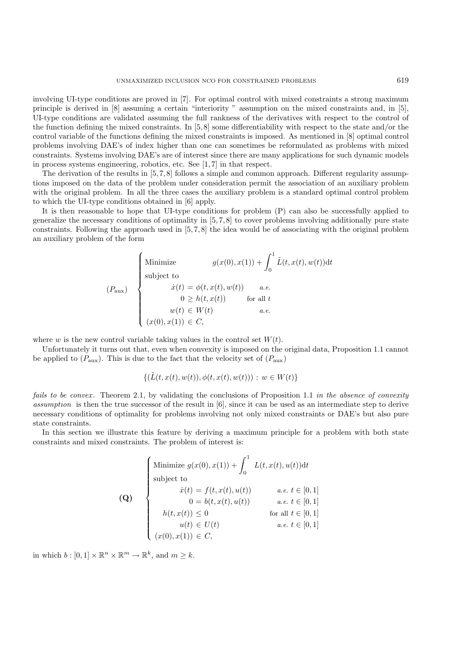involving UI-type conditions are proved in [7]. For optimal control with mixed constraints a strong maximum principle is derived in [8] assuming a certain "interiority " assumption on the mixed constraints and, in [5], UI-type conditions are validated assuming the full rankness of the derivatives with respect to the control of the function defining the mixed constraints. In  $[5, 8]$  some differentiability with respect to the state and/or the control variable of the functions defining the mixed constraints is imposed. As mentioned in [8] optimal control problems involving DAE's of index higher than one can sometimes be reformulated as problems with mixed constraints. Systems involving DAE's are of interest since there are many applications for such dynamic models in process systems engineering, robotics, etc. See [1, 7] in that respect.

The derivation of the results in [5,7,8] follows a simple and common approach. Different regularity assumptions imposed on the data of the problem under consideration permit the association of an auxiliary problem with the original problem. In all the three cases the auxiliary problem is a standard optimal control problem to which the UI-type conditions obtained in [6] apply.

It is then reasonable to hope that UI-type conditions for problem (P) can also be successfully applied to generalize the necessary conditions of optimality in  $[5, 7, 8]$  to cover problems involving additionally pure state constraints. Following the approach used in [5, 7, 8] the idea would be of associating with the original problem an auxiliary problem of the form

$$
(P_{\text{aux}})\n\begin{cases}\n\text{Minimize} & g(x(0), x(1)) + \int_0^1 \tilde{L}(t, x(t), w(t)) dt \\
\text{subject to} & \dot{x}(t) = \phi(t, x(t), w(t)) & a.e. \\
& 0 \ge h(t, x(t)) & \text{for all } t \\
& w(t) \in W(t) & a.e. \\
(x(0), x(1)) \in C,\n\end{cases}
$$

where w is the new control variable taking values in the control set  $W(t)$ .

Unfortunately it turns out that, even when convexity is imposed on the original data, Proposition 1.1 cannot be applied to  $(P_{\text{aux}})$ . This is due to the fact that the velocity set of  $(P_{\text{aux}})$ 

$$
\{(\tilde{L}(t, x(t), w(t)), \phi(t, x(t), w(t))) : w \in W(t)\}\
$$

*fails to be convex.* Theorem 2.1, by validating the conclusions of Proposition 1.1 *in the absence of convexity assumption* is then the true successor of the result in [6], since it can be used as an intermediate step to derive necessary conditions of optimality for problems involving not only mixed constraints or DAE's but also pure state constraints.

In this section we illustrate this feature by deriving a maximum principle for a problem with both state constraints and mixed constraints. The problem of interest is:

(Q)

\n
$$
\begin{cases}\n\text{Minimize } g(x(0), x(1)) + \int_0^1 L(t, x(t), u(t)) dt \\
\text{subject to} \\
\dot{x}(t) = f(t, x(t), u(t)) \\
0 = b(t, x(t), u(t)) \\
h(t, x(t)) \leq 0 \\
u(t) \in U(t) \\
x(0), x(1)) \in C,\n\end{cases}
$$
\nfor all  $t \in [0, 1]$ 

\nfor all  $t \in [0, 1]$ 

\nfor all  $t \in [0, 1]$ 

\nfor all  $t \in [0, 1]$ 

\nfor all  $t \in [0, 1]$ 

\nfor all  $t \in [0, 1]$ 

\nfor all  $t \in [0, 1]$ 

\nfor all  $t \in [0, 1]$ 

\nfor all  $t \in [0, 1]$ 

\nfor all  $t \in [0, 1]$ 

\nfor all  $t \in [0, 1]$ 

\nfor all  $t \in [0, 1]$ 

\nfor all  $t \in [0, 1]$ 

\nfor all  $t \in [0, 1]$ 

\nfor all  $t \in [0, 1]$ 

\nfor all  $t \in [0, 1]$ 

\nfor all  $t \in [0, 1]$ 

\nfor all  $t \in [0, 1]$ 

\nfor all  $t \in [0, 1]$ 

\nfor all  $t \in [0, 1]$ 

\nfor all  $t \in [0, 1]$ 

\nfor all  $t \in [0, 1]$ 

\nfor all  $t \in [0, 1]$ 

\nfor all  $t \in [0, 1]$ 

\nfor all  $t \in [0, 1]$ 

\nfor all  $t \in [0, 1]$ 

\nfor all  $t \in [0, 1]$ 

\nfor all  $t \in [0, 1]$ 

\nfor all  $t \in [0, 1]$ 

\nfor all  $t \in [0, 1]$ 

\nfor all  $t \in [0, 1]$ 

\nfor all  $t \in [0, 1]$ 

in which  $b : [0, 1] \times \mathbb{R}^n \times \mathbb{R}^m \to \mathbb{R}^k$ , and  $m \geq k$ .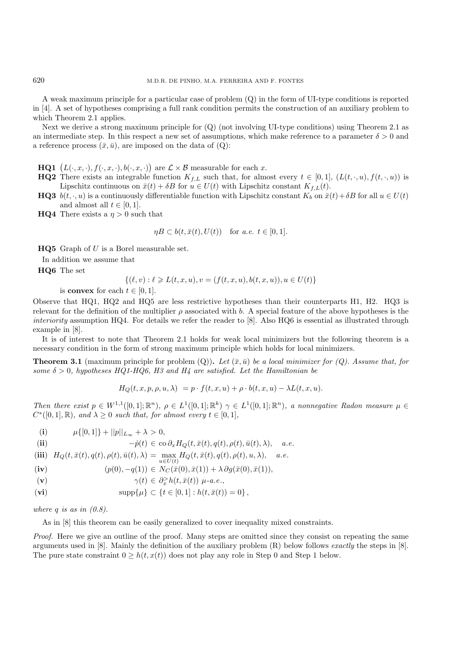A weak maximum principle for a particular case of problem (Q) in the form of UI-type conditions is reported in [4]. A set of hypotheses comprising a full rank condition permits the construction of an auxiliary problem to which Theorem 2.1 applies.

Next we derive a strong maximum principle for  $(Q)$  (not involving UI-type conditions) using Theorem 2.1 as an intermediate step. In this respect a new set of assumptions, which make reference to a parameter  $\delta > 0$  and a reference process  $(\bar{x}, \bar{u})$ , are imposed on the data of  $(Q)$ :

**HQ1**  $(L(\cdot, x, \cdot), f(\cdot, x, \cdot), b(\cdot, x, \cdot))$  are  $\mathcal{L} \times \mathcal{B}$  measurable for each x.

- **HQ2** There exists an integrable function  $K_{f,L}$  such that, for almost every  $t \in [0,1]$ ,  $(L(t,\cdot,u), f(t,\cdot,u))$  is Lipschitz continuous on  $\bar{x}(t) + \delta B$  for  $u \in U(t)$  with Lipschitz constant  $K_{f,L}(t)$ .
- **HQ3**  $b(t, \cdot, u)$  is a continuously differentiable function with Lipschitz constant  $K_b$  on  $\bar{x}(t) + \delta B$  for all  $u \in U(t)$ and almost all  $t \in [0, 1]$ .
- **HQ4** There exists a  $\eta > 0$  such that

$$
\eta B \subset b(t, \bar{x}(t), U(t)) \quad \text{for a.e. } t \in [0, 1].
$$

**HQ5** Graph of U is a Borel measurable set.

In addition we assume that

**HQ6** The set

$$
\{(\ell, v) : \ell \geq L(t, x, u), v = (f(t, x, u), b(t, x, u)), u \in U(t)\}
$$

is **convex** for each  $t \in [0, 1]$ .

Observe that HQ1, HQ2 and HQ5 are less restrictive hypotheses than their counterparts H1, H2. HQ3 is relevant for the definition of the multiplier  $\rho$  associated with b. A special feature of the above hypotheses is the *interiority* assumption HQ4. For details we refer the reader to [8]. Also HQ6 is essential as illustrated through example in [8].

It is of interest to note that Theorem 2.1 holds for weak local minimizers but the following theorem is a necessary condition in the form of strong maximum principle which holds for local minimizers.

**Theorem 3.1** (maximum principle for problem  $(Q)$ ). Let  $(\bar{x}, \bar{u})$  be a local minimizer for  $(Q)$ . Assume that, for *some*  $\delta > 0$ , hypotheses HQ1-HQ6, H3 and H4 are satisfied. Let the Hamiltonian be

$$
H_Q(t, x, p, \rho, u, \lambda) = p \cdot f(t, x, u) + \rho \cdot b(t, x, u) - \lambda L(t, x, u).
$$

*Then there exist*  $p \in W^{1,1}([0,1];\mathbb{R}^n)$ ,  $\rho \in L^1([0,1];\mathbb{R}^k)$   $\gamma \in L^1([0,1];\mathbb{R}^n)$ , a nonnegative Radon measure  $\mu \in$  $C^*([0,1], \mathbb{R})$ *, and*  $\lambda \geq 0$  *such that, for almost every*  $t \in [0,1]$ *,* 

(i) 
$$
\mu\{[0,1]\} + ||p||_{L_{\infty}} + \lambda > 0,
$$

(ii) 
$$
-p(t) \in \text{co } \partial_x H_Q(t, \bar{x}(t), q(t), \rho(t), \bar{u}(t), \lambda), \quad a.e.
$$

$$
\begin{array}{ll}\n\textbf{(iii)} \quad H_Q(t, \bar{x}(t), q(t), \rho(t), \bar{u}(t), \lambda) = \max_{u \in U(t)} H_Q(t, \bar{x}(t), q(t), \rho(t), u, \lambda), \quad a.e.\n\end{array}
$$

$$
\begin{array}{ll}\n\textbf{(iv)} & (p(0), -q(1)) \in N_C(\bar{x}(0), \bar{x}(1)) + \lambda \partial g(\bar{x}(0), \bar{x}(1)), \\
\end{array}
$$

$$
\mathbf{v}) \qquad \qquad \gamma(t) \in \partial_x^> h(t, \bar{x}(t)) \ \mu\text{-}a.e.
$$

$$
\textbf{(vi)} \qquad \qquad \text{supp}\{\mu\} \subset \{t \in [0,1] : h(t,\bar{x}(t)) = 0\}\,,
$$

*where* q *is as in (0.8).*

As in [8] this theorem can be easily generalized to cover inequality mixed constraints.

*Proof.* Here we give an outline of the proof. Many steps are omitted since they consist on repeating the same arguments used in [8]. Mainly the definition of the auxiliary problem (R) below follows *exactly* the steps in [8]. The pure state constraint  $0 \geq h(t, x(t))$  does not play any role in Step 0 and Step 1 below.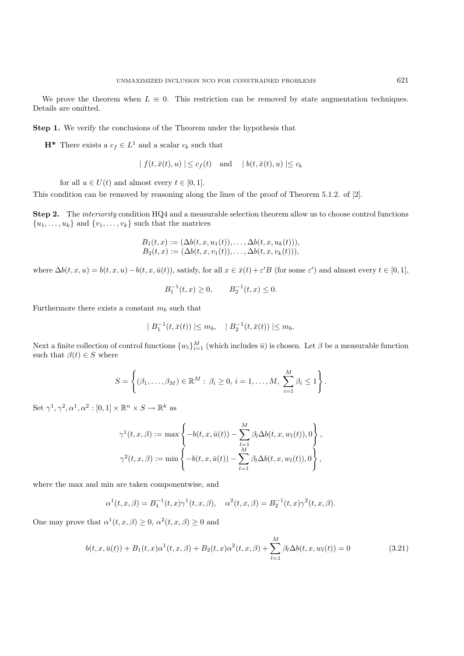We prove the theorem when  $L \equiv 0$ . This restriction can be removed by state augmentation techniques. Details are omitted.

**Step 1.** We verify the conclusions of the Theorem under the hypothesis that

**H<sup>\*</sup>** There exists a  $c_f \in L^1$  and a scalar  $c_b$  such that

$$
| f(t, \bar{x}(t), u) | \leq c_f(t)
$$
 and  $| b(t, \bar{x}(t), u) | \leq c_b$ 

for all  $u \in U(t)$  and almost every  $t \in [0, 1]$ .

This condition can be removed by reasoning along the lines of the proof of Theorem 5.1.2. of [2].

**Step 2.** The *interiority* condition HQ4 and a measurable selection theorem allow us to choose control functions  ${u_1, \ldots, u_k}$  and  ${v_1, \ldots, v_k}$  such that the matrices

$$
B_1(t, x) := (\Delta b(t, x, u_1(t)), \dots, \Delta b(t, x, u_k(t))),
$$
  
\n
$$
B_2(t, x) := (\Delta b(t, x, v_1(t)), \dots, \Delta b(t, x, v_k(t))),
$$

where  $\Delta b(t, x, u) = b(t, x, u) - b(t, x, \bar{u}(t))$ , satisfy, for all  $x \in \bar{x}(t) + \varepsilon' B$  (for some  $\varepsilon'$ ) and almost every  $t \in [0, 1]$ ,

$$
B_1^{-1}(t, x) \ge 0, \qquad B_2^{-1}(t, x) \le 0.
$$

Furthermore there exists a constant  $m_b$  such that

$$
|B_1^{-1}(t, \bar{x}(t))| \le m_b, \quad |B_2^{-1}(t, \bar{x}(t))| \le m_b.
$$

Next a finite collection of control functions  $\{w_i\}_{i=1}^M$  (which includes  $\bar{u}$ ) is chosen. Let  $\beta$  be a measurable function<br>such that  $\beta(t) \in S$  where such that  $\beta(t) \in S$  where

$$
S = \left\{ (\beta_1, \ldots, \beta_M) \in \mathbb{R}^M : \beta_i \geq 0, i = 1, \ldots, M, \sum_{i=1}^M \beta_i \leq 1 \right\}.
$$

Set  $\gamma^1, \gamma^2, \alpha^1, \alpha^2 : [0, 1] \times \mathbb{R}^n \times S \to \mathbb{R}^k$  as

$$
\gamma^1(t, x, \beta) := \max \left\{ -b(t, x, \bar{u}(t)) - \sum_{\substack{l=1 \ M}}^M \beta_l \Delta b(t, x, w_l(t)), 0 \right\},
$$
  

$$
\gamma^2(t, x, \beta) := \min \left\{ -b(t, x, \bar{u}(t)) - \sum_{l=1}^M \beta_l \Delta b(t, x, w_l(t)), 0 \right\},
$$

where the max and min are taken componentwise, and

$$
\alpha^{1}(t, x, \beta) = B_{1}^{-1}(t, x)\gamma^{1}(t, x, \beta), \quad \alpha^{2}(t, x, \beta) = B_{2}^{-1}(t, x)\gamma^{2}(t, x, \beta).
$$

One may prove that  $\alpha^1(t, x, \beta) \geq 0$ ,  $\alpha^2(t, x, \beta) \geq 0$  and

$$
b(t, x, \bar{u}(t)) + B_1(t, x)\alpha^1(t, x, \beta) + B_2(t, x)\alpha^2(t, x, \beta) + \sum_{l=1}^{M} \beta_l \Delta b(t, x, w_l(t)) = 0
$$
\n(3.21)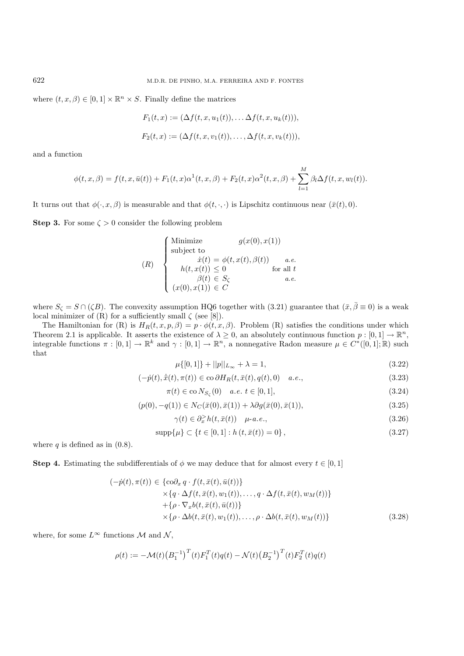where  $(t, x, \beta) \in [0, 1] \times \mathbb{R}^n \times S$ . Finally define the matrices

$$
F_1(t, x) := (\Delta f(t, x, u_1(t)), \dots \Delta f(t, x, u_k(t))),
$$
  
\n
$$
F_2(t, x) := (\Delta f(t, x, v_1(t)), \dots, \Delta f(t, x, v_k(t))),
$$

and a function

$$
\phi(t, x, \beta) = f(t, x, \bar{u}(t)) + F_1(t, x)\alpha^1(t, x, \beta) + F_2(t, x)\alpha^2(t, x, \beta) + \sum_{l=1}^{M} \beta_l \Delta f(t, x, w_l(t)).
$$

It turns out that  $\phi(\cdot, x, \beta)$  is measurable and that  $\phi(t, \cdot, \cdot)$  is Lipschitz continuous near  $(\bar{x}(t), 0)$ .

**Step 3.** For some  $\zeta > 0$  consider the following problem

(R)  
\n
$$
\begin{cases}\n\text{Minimize} & g(x(0), x(1)) \\
\text{subject to} & \dot{x}(t) = \phi(t, x(t), \beta(t)) \quad a.e. \\
h(t, x(t)) \le 0 \quad \text{for all } t \\
\beta(t) \in S_{\zeta} & a.e. \\
(x(0), x(1)) \in C\n\end{cases}
$$

where  $S_{\zeta} = S \cap (\zeta B)$ . The convexity assumption HQ6 together with (3.21) guarantee that  $(\bar{x}, \bar{\beta} \equiv 0)$  is a weak local minimizer of  $(R)$  for a sufficiently small  $\zeta$  (see [8]).

The Hamiltonian for (R) is  $H_R(t, x, p, \beta) = p \cdot \phi(t, x, \beta)$ . Problem (R) satisfies the conditions under which Theorem 2.1 is applicable. It asserts the existence of  $\lambda \geq 0$ , an absolutely continuous function  $p : [0,1] \to \mathbb{R}^n$ , integrable functions  $\pi : [0,1] \to \mathbb{R}^k$  and  $\gamma : [0,1] \to \mathbb{R}^n$ , a nonnegative Radon measure  $\mu \in C^*([0,1];\mathbb{R})$  such that

$$
\mu\{[0,1]\} + ||p||_{L_{\infty}} + \lambda = 1,\tag{3.22}
$$

$$
(-\dot{p}(t), \dot{\bar{x}}(t), \pi(t)) \in \text{co}\,\partial H_R(t, \bar{x}(t), q(t), 0) \quad a.e., \tag{3.23}
$$

$$
\pi(t) \in \text{co}\, N_{S_{\zeta}}(0) \quad a.e. \ t \in [0, 1], \tag{3.24}
$$

$$
(p(0), -q(1)) \in N_C(\bar{x}(0), \bar{x}(1)) + \lambda \partial g(\bar{x}(0), \bar{x}(1)),
$$
\n(3.25)

$$
\gamma(t) \in \partial_x^> h(t, \bar{x}(t)) \quad \mu\text{-}a.e., \tag{3.26}
$$

$$
supp{\mu} \subset \{t \in [0,1]: h(t, \bar{x}(t)) = 0\},
$$
\n(3.27)

where q is defined as in  $(0.8)$ .

**Step 4.** Estimating the subdifferentials of  $\phi$  we may deduce that for almost every  $t \in [0, 1]$ 

$$
(-\dot{p}(t), \pi(t)) \in \{ \text{co} \partial_x q \cdot f(t, \bar{x}(t), \bar{u}(t)) \} \times \{ q \cdot \Delta f(t, \bar{x}(t), w_1(t)), \dots, q \cdot \Delta f(t, \bar{x}(t), w_M(t)) \} + \{ \rho \cdot \nabla_x b(t, \bar{x}(t), \bar{u}(t)) \} \times \{ \rho \cdot \Delta b(t, \bar{x}(t), w_1(t)), \dots, \rho \cdot \Delta b(t, \bar{x}(t), w_M(t)) \}
$$
(3.28)

where, for some  $L^{\infty}$  functions M and N,

$$
\rho(t) := -\mathcal{M}(t) \big(B_1^{-1}\big)^T(t) F_1^T(t) q(t) - \mathcal{N}(t) \big(B_2^{-1}\big)^T(t) F_2^T(t) q(t)
$$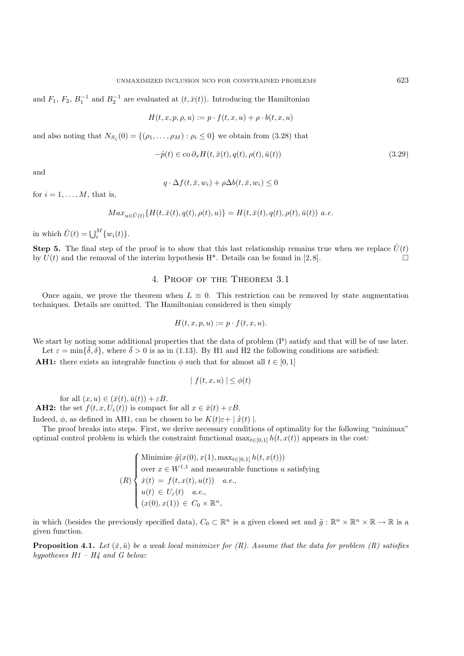and  $F_1, F_2, B_1^{-1}$  and  $B_2^{-1}$  are evaluated at  $(t, \bar{x}(t))$ . Introducing the Hamiltonian

$$
H(t, x, p, \rho, u) := p \cdot f(t, x, u) + \rho \cdot b(t, x, u)
$$

and also noting that  $N_{S_{\zeta}}(0) = \{(\rho_1, \ldots, \rho_M) : \rho_i \leq 0\}$  we obtain from (3.28) that

$$
-\dot{p}(t) \in \text{co}\,\partial_x H(t, \bar{x}(t), q(t), \rho(t), \bar{u}(t))\tag{3.29}
$$

and

$$
q \cdot \Delta f(t, \bar{x}, w_i) + \rho \Delta b(t, \bar{x}, w_i) \le 0
$$

for  $i = 1, \ldots, M$ , that is,

$$
Max_{u \in \hat{U}(t)} \{H(t, \bar{x}(t), q(t), \rho(t), u)\} = H(t, \bar{x}(t), q(t), \rho(t), \bar{u}(t)) \ a.e.
$$

in which  $\hat{U}(t) = \bigcup_{i}^{M} \{w_i(t)\}.$ 

**Step 5.** The final step of the proof is to show that this last relationship remains true when we replace  $\hat{U}(t)$ by  $U(t)$  and the removal of the interim hypothesis H<sup>\*</sup>. Details can be found in [2,8].

#### 4. Proof of the Theorem 3.1

Once again, we prove the theorem when  $L \equiv 0$ . This restriction can be removed by state augmentation techniques. Details are omitted. The Hamiltonian considered is then simply

$$
H(t, x, p, u) := p \cdot f(t, x, u).
$$

We start by noting some additional properties that the data of problem  $(P)$  satisfy and that will be of use later. Let  $\varepsilon = \min\{\delta, \delta\}$ , where  $\delta > 0$  is as in (1.13). By H1 and H2 the following conditions are satisfied:

**AH1:** there exists an integrable function  $\phi$  such that for almost all  $t \in [0, 1]$ 

$$
|f(t, x, u)| \le \phi(t)
$$

for all  $(x, u) \in (\bar{x}(t), \bar{u}(t)) + \varepsilon B$ .

**AH2:** the set  $f(t, x, U_{\varepsilon}(t))$  is compact for all  $x \in \overline{x}(t) + \varepsilon B$ .

Indeed,  $\phi$ , as defined in AH1, can be chosen to be  $K(t)\varepsilon + |\dot{x}(t)|$ .

The proof breaks into steps. First, we derive necessary conditions of optimality for the following "minimax" optimal control problem in which the constraint functional  $\max_{t\in[0,1]} h(t, x(t))$  appears in the cost:

$$
(R) \begin{cases} \text{Minimize } \tilde{g}(x(0), x(1), \max_{t \in [0,1]} h(t, x(t))) \\ \text{over } x \in W^{1,1} \text{ and measurable functions } u \text{ satisfying} \\ \dot{x}(t) = f(t, x(t), u(t)) \quad a.e., \\ u(t) \in U_{\varepsilon}(t) \quad a.e., \\ (x(0), x(1)) \in C_0 \times \mathbb{R}^n, \end{cases}
$$

in which (besides the previously specified data),  $C_0 \subset \mathbb{R}^n$  is a given closed set and  $\tilde{g} : \mathbb{R}^n \times \mathbb{R}^n \times \mathbb{R} \to \mathbb{R}$  is a given function.

**Proposition 4.1.** *Let*  $(\bar{x}, \bar{u})$  *be a weak local minimizer for*  $(R)$ *. Assume that the data for problem*  $(R)$  *satisfies hypotheses H1 – H4 and G below:*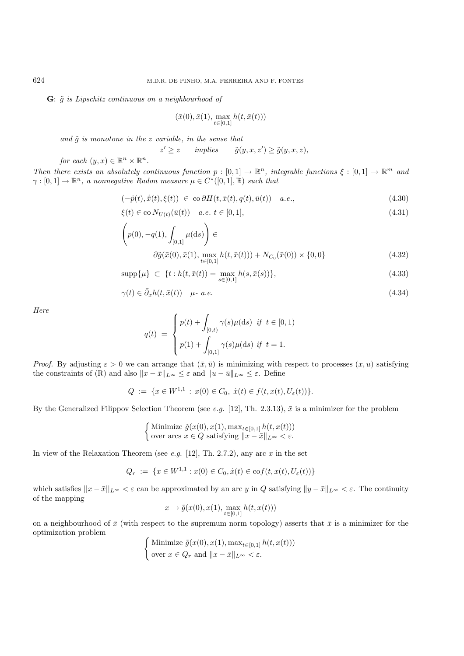### **G**: ˜g *is Lipschitz continuous on a neighbourhood of*

$$
(\bar{x}(0), \bar{x}(1), \max_{t \in [0,1]} h(t, \bar{x}(t)))
$$

*and*  $\tilde{g}$  *is monotone in the z variable, in the sense that* 

$$
z' \ge z \qquad \text{implies} \qquad \tilde{g}(y, x, z') \ge \tilde{g}(y, x, z),
$$
  
for each  $(y, x) \in \mathbb{R}^n \times \mathbb{R}^n$ .

*Then there exists an absolutely continuous function*  $p : [0,1] \to \mathbb{R}^n$ , *integrable functions*  $\xi : [0,1] \to \mathbb{R}^m$  *and*  $\gamma : [0,1] \to \mathbb{R}^n$ , a nonnegative Radon measure  $\mu \in C^*([0,1], \mathbb{R})$  such that

$$
(-\dot{p}(t), \dot{\bar{x}}(t), \xi(t)) \in \operatorname{co}\partial H(t, \bar{x}(t), q(t), \bar{u}(t)) \quad a.e., \tag{4.30}
$$

$$
\xi(t) \in \text{co}\, N_{U(t)}(\bar{u}(t)) \quad a.e. \ t \in [0,1], \tag{4.31}
$$

$$
\left(p(0), -q(1), \int_{[0,1]} \mu(ds)\right) \in
$$
  

$$
\partial \tilde{g}(\bar{x}(0), \bar{x}(1), \max_{t \in [0,1]} h(t, \bar{x}(t))) + N_{C_0}(\bar{x}(0)) \times \{0, 0\}
$$
 (4.32)

$$
\text{supp}\{\mu\} \subset \{t : h(t, \bar{x}(t)) = \max_{s \in [0,1]} h(s, \bar{x}(s))\},\tag{4.33}
$$

$$
\gamma(t) \in \bar{\partial}_x h(t, \bar{x}(t)) \quad \mu \text{-} a.e. \tag{4.34}
$$

*Here*

$$
q(t) = \begin{cases} p(t) + \int_{[0,t)} \gamma(s) \mu(ds) & \text{if } t \in [0,1) \\ p(1) + \int_{[0,1]} \gamma(s) \mu(ds) & \text{if } t = 1. \end{cases}
$$

*Proof.* By adjusting  $\varepsilon > 0$  we can arrange that  $(\bar{x}, \bar{u})$  is minimizing with respect to processes  $(x, u)$  satisfying the constraints of (R) and also  $||x - \bar{x}||_{L^{\infty}} \leq \varepsilon$  and  $||u - \bar{u}||_{L^{\infty}} \leq \varepsilon$ . Define

$$
Q := \{ x \in W^{1,1} : x(0) \in C_0, \ \dot{x}(t) \in f(t, x(t), U_{\varepsilon}(t)) \}.
$$

By the Generalized Filippov Selection Theorem (see *e.g.* [12], Th. 2.3.13),  $\bar{x}$  is a minimizer for the problem

$$
\begin{cases} \text{Minimize } \tilde{g}(x(0), x(1), \max_{t \in [0,1]} h(t, x(t)))\\ \text{over arcs } x \in Q \text{ satisfying } ||x - \bar{x}||_{L^{\infty}} < \varepsilon. \end{cases}
$$

In view of the Relaxation Theorem (see *e.g.* [12], Th. 2.7.2), any arc x in the set

$$
Q_r := \{ x \in W^{1,1} : x(0) \in C_0, \dot{x}(t) \in \text{cof}(t, x(t), U_\varepsilon(t)) \}
$$

which satisfies  $||x - \bar{x}||_{L^{\infty}} < \varepsilon$  can be approximated by an arc y in Q satisfying  $||y - \bar{x}||_{L^{\infty}} < \varepsilon$ . The continuity of the mapping

$$
x \to \tilde{g}(x(0), x(1), \max_{t \in [0,1]} h(t, x(t)))
$$

on a neighbourhood of  $\bar{x}$  (with respect to the supremum norm topology) asserts that  $\bar{x}$  is a minimizer for the optimization problem

$$
\begin{cases} \text{Minimize } \tilde{g}(x(0), x(1), \max_{t \in [0,1]} h(t, x(t)))\\ \text{over } x \in Q_r \text{ and } \|x - \bar{x}\|_{L^\infty} < \varepsilon. \end{cases}
$$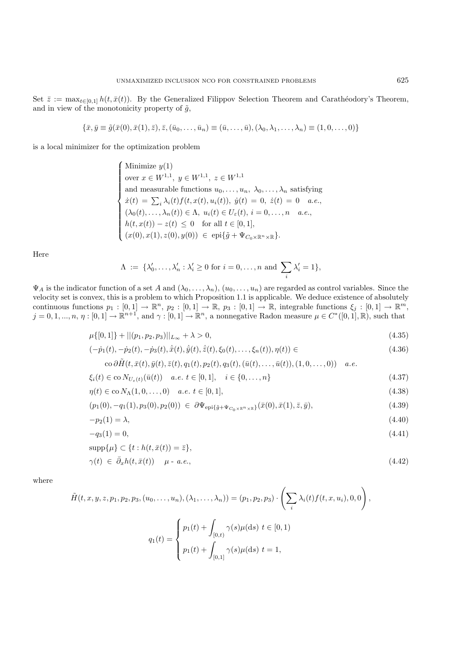Set  $\bar{z} := \max_{t \in [0,1]} h(t, \bar{x}(t))$ . By the Generalized Filippov Selection Theorem and Carathéodory's Theorem, and in view of the monotonicity property of  $\tilde{g}$ ,

$$
\{\bar{x}, \bar{y} \equiv \tilde{g}(\bar{x}(0), \bar{x}(1), \bar{z}), \bar{z}, (\bar{u}_0, \dots, \bar{u}_n) \equiv (\bar{u}, \dots, \bar{u}), (\lambda_0, \lambda_1, \dots, \lambda_n) \equiv (1, 0, \dots, 0)\}
$$

is a local minimizer for the optimization problem

 $\sqrt{ }$  $\begin{matrix} \phantom{-} \end{matrix}$  $\begin{array}{|c|c|} \hline \rule{0pt}{12pt} \rule{0pt}{2pt} \rule{0pt}{2pt} \rule{0pt}{2pt} \rule{0pt}{2pt} \rule{0pt}{2pt} \rule{0pt}{2pt} \rule{0pt}{2pt} \rule{0pt}{2pt} \rule{0pt}{2pt} \rule{0pt}{2pt} \rule{0pt}{2pt} \rule{0pt}{2pt} \rule{0pt}{2pt} \rule{0pt}{2pt} \rule{0pt}{2pt} \rule{0pt}{2pt} \rule{0pt}{2pt} \rule{0pt}{2pt} \rule{0pt}{2pt} \rule{0pt}{2pt} \rule{0pt}{2pt} \rule{0pt}{2$ Minimize  $y(1)$ over  $x \in W^{1,1}, y \in W^{1,1}, z \in W^{1,1}$ and measurable functions  $u_0, \ldots, u_n, \lambda_0, \ldots, \lambda_n$  satisfying  $\dot{x}(t) = \sum_i \lambda_i(t) f(t, x(t), u_i(t)), \ \dot{y}(t) = 0, \ \dot{z}(t) = 0 \quad a.e.,$  $(\lambda_0(t),\ldots,\lambda_n(t)) \in \Lambda$ ,  $u_i(t) \in U_{\varepsilon}(t)$ ,  $i = 0,\ldots,n$  *a.e.*,  $h(t, x(t)) - z(t) \leq 0$  for all  $t \in [0, 1],$  $(x(0), x(1), z(0), y(0)) \in \text{epi}\{\tilde{g} + \Psi_{C_0 \times \mathbb{R}^n \times \mathbb{R}}\}.$ 

Here

$$
\Lambda := \{ \lambda'_0, \dots, \lambda'_n : \lambda'_i \ge 0 \text{ for } i = 0, \dots, n \text{ and } \sum_i \lambda'_i = 1 \},
$$

 $\Psi_A$  is the indicator function of a set A and  $(\lambda_0, \ldots, \lambda_n)$ ,  $(u_0, \ldots, u_n)$  are regarded as control variables. Since the value is convertible is a problem to which Proposition 1.1 is explicable. We deduce evidence of ab velocity set is convex, this is a problem to which Proposition 1.1 is applicable. We deduce existence of absolutely continuous functions  $p_1 : [0,1] \to \mathbb{R}^n$ ,  $p_2 : [0,1] \to \mathbb{R}$ ,  $p_3 : [0,1] \to \mathbb{R}$ , integrable functions  $\xi_j : [0,1] \to \mathbb{R}^m$ ,  $j = 0, 1, ..., n, \eta : [0, 1] \to \mathbb{R}^{n+1}$ , and  $\gamma : [0, 1] \to \mathbb{R}^n$ , a nonnegative Radon measure  $\mu \in C^*([0, 1], \mathbb{R})$ , such that

$$
\mu\{[0,1]\} + ||(p_1, p_2, p_3)||_{L_{\infty}} + \lambda > 0,
$$
\n(4.35)

$$
(-\dot{p}_1(t), -\dot{p}_2(t), -\dot{p}_3(t), \dot{\bar{x}}(t), \dot{\bar{y}}(t), \dot{\bar{z}}(t), \xi_0(t), \dots, \xi_n(t)), \eta(t)) \in (4.36)
$$

$$
\text{co}\,\partial \tilde H(t,\bar x(t),\bar y(t),\bar z(t),q_1(t),p_2(t),q_3(t),(\bar u(t),\dots,\bar u(t)),(1,0,\dots,0))\quad a.e.
$$

$$
\xi_i(t) \in \text{co}\, N_{U_{\varepsilon}(t)}(\bar{u}(t)) \quad a.e. \ t \in [0,1], \quad i \in \{0,\dots,n\}
$$
\n(4.37)

$$
\eta(t) \in \text{co}\, N_{\Lambda}(1,0,\ldots,0) \quad a.e. \ t \in [0,1], \tag{4.38}
$$

$$
(p_1(0), -q_1(1), p_3(0), p_2(0)) \in \partial \Psi_{\text{epi}\{\tilde{g} + \Psi_{C_0 \times \mathbb{R}^n \times \mathbb{R}}\}}(\bar{x}(0), \bar{x}(1), \bar{z}, \bar{y}),
$$
\n(4.39)

$$
-p_2(1) = \lambda,\tag{4.40}
$$

$$
-q_3(1) = 0,\t\t(4.41)
$$

$$
\operatorname{supp}\{\mu\} \subset \{t : h(t, \bar{x}(t)) = \bar{z}\},\
$$

$$
\gamma(t) \in \bar{\partial}_x h(t, \bar{x}(t)) \quad \mu \text{ - a.e.,} \tag{4.42}
$$

where

$$
\tilde{H}(t, x, y, z, p_1, p_2, p_3, (u_0, \dots, u_n), (\lambda_1, \dots, \lambda_n)) = (p_1, p_2, p_3) \cdot \left(\sum_i \lambda_i(t) f(t, x, u_i), 0, 0\right),
$$

$$
q_1(t) = \begin{cases} p_1(t) + \int_{[0, t)} \gamma(s) \mu(ds) \ t \in [0, 1) \\ p_1(t) + \int_{[0, 1]} \gamma(s) \mu(ds) \ t = 1, \end{cases}
$$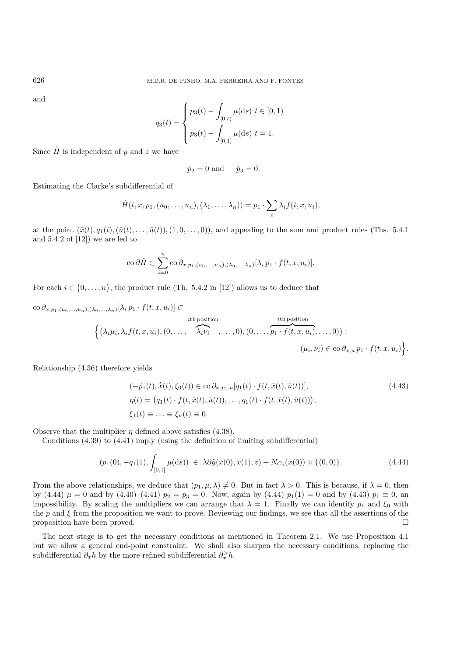and

$$
q_3(t) = \begin{cases} p_3(t) - \int_{[0,t)} \mu(ds) \ t \in [0,1) \\ p_3(t) - \int_{[0,1]} \mu(ds) \ t = 1. \end{cases}
$$

Since  $\tilde{H}$  is independent of y and z we have

$$
-\dot{p}_2 = 0 \text{ and } -\dot{p}_3 = 0.
$$

Estimating the Clarke's subdifferential of

$$
\hat{H}(t,x,p_1,(u_0,\ldots,u_n),(\lambda_1,\ldots,\lambda_n))=p_1\cdot\sum_i\lambda_if(t,x,u_i),
$$

at the point  $(\bar{x}(t), q_1(t),(\bar{u}(t),\ldots,\bar{u}(t)),(1,0,\ldots,0))$ , and appealing to the sum and product rules (Ths. 5.4.1) and  $5.4.2$  of  $[12]$ ) we are led to

$$
\operatorname{co}\nolimits\partial\hat{H}\subset\sum_{i=0}^n\operatorname{co}\partial_{x,p_1,(u_0,...,u_n),(\lambda_0,...,\lambda_n)}[\lambda_i\,p_1\cdot f(t,x,u_i)].
$$

For each  $i \in \{0, \ldots, n\}$ , the product rule (Th. 5.4.2 in [12]) allows us to deduce that

$$
\text{co } \partial_{x, p_1, (u_0, \ldots, u_n), (\lambda_0, \ldots, \lambda_n)}[\lambda_i p_1 \cdot f(t, x, u_i)] \subset \text{the position}
$$
\n
$$
\left\{ (\lambda_i \mu_i, \lambda_i f(t, x, u_i), (0, \ldots, \widehat{\lambda_i \nu_i}, \ldots, 0), (0, \ldots, \widehat{p_1 \cdot f(t, x, u_i)}, \ldots, 0)) : (\mu_i, \nu_i) \in \text{co } \partial_{x, u} p_1 \cdot f(t, x, u_i) \right\}.
$$

Relationship (4.36) therefore yields

$$
(-\dot{p}_1(t), \dot{\bar{x}}(t), \xi_0(t)) \in \text{co } \partial_{x, p_1, u}[q_1(t) \cdot f(t, \bar{x}(t), \bar{u}(t))],
$$
  
\n
$$
\eta(t) = (q_1(t) \cdot f(t, \bar{x}(t), \bar{u}(t)), \dots, q_1(t) \cdot f(t, \bar{x}(t), \bar{u}(t))),
$$
  
\n
$$
\xi_1(t) \equiv \dots \equiv \xi_n(t) \equiv 0.
$$
\n(4.43)

Observe that the multiplier  $\eta$  defined above satisfies (4.38).

Conditions (4.39) to (4.41) imply (using the definition of limiting subdifferential)

$$
(p_1(0), -q_1(1), \int_{[0,1]} \mu(ds)) \in \lambda \partial \tilde{g}(\bar{x}(0), \bar{x}(1), \bar{z}) + N_{C_0}(\bar{x}(0)) \times \{(0,0)\}.
$$
 (4.44)

From the above relationships, we deduce that  $(p_1, \mu, \lambda) \neq 0$ . But in fact  $\lambda > 0$ . This is because, if  $\lambda = 0$ , then by (4.44)  $\mu = 0$  and by (4.40)–(4.41)  $p_2 = p_3 = 0$ . Now, again by (4.44)  $p_1(1) = 0$  and by (4.43)  $p_1 \equiv 0$ , an impossibility. By scaling the multipliers we can arrange that  $\lambda = 1$ . Finally we can identify  $p_1$  and  $\xi_0$  with the p and  $\xi$  from the proposition we want to prove. Reviewing our findings, we see that all the assertions of the proposition have been proved.  $\square$ 

The next stage is to get the necessary conditions as mentioned in Theorem 2.1. We use Proposition 4.1 but we allow a general end-point constraint. We shall also sharpen the necessary conditions, replacing the subdifferential  $\bar{\partial}_x h$  by the more refined subdifferential  $\partial_x^> h$ .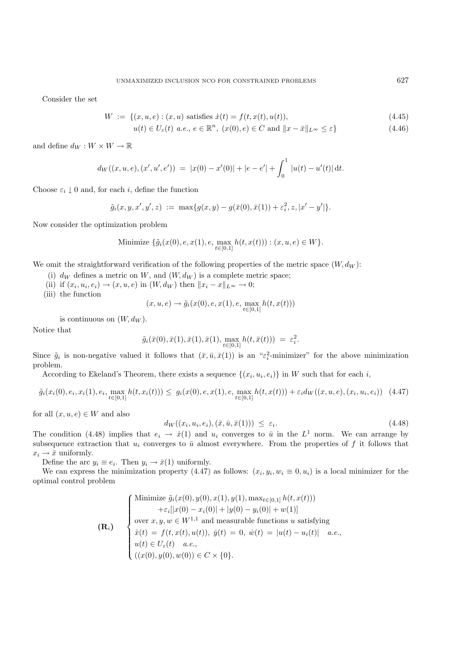Consider the set

$$
W := \{(x, u, e) : (x, u) \text{ satisfies } \dot{x}(t) = f(t, x(t), u(t)), \tag{4.45}
$$

$$
u(t) \in U_{\varepsilon}(t) \ a.e., \ e \in \mathbb{R}^n, \ (x(0), e) \in C \text{ and } ||x - \bar{x}||_{L^{\infty}} \le \varepsilon \}
$$
\n
$$
(4.46)
$$

and define  $d_W : W \times W \to \mathbb{R}$ 

$$
d_W((x, u, e), (x', u', e')) = |x(0) - x'(0)| + |e - e'| + \int_0^1 |u(t) - u'(t)| dt.
$$

Choose  $\varepsilon_i \downarrow 0$  and, for each i, define the function

$$
\tilde{g}_i(x, y, x', y', z) := \max\{g(x, y) - g(\bar{x}(0), \bar{x}(1)) + \varepsilon_i^2, z, |x' - y'|\}.
$$

Now consider the optimization problem

Minimize 
$$
\{\tilde{g}_i(x(0), e, x(1), e, \max_{t \in [0,1]} h(t, x(t))): (x, u, e) \in W\}.
$$

We omit the straightforward verification of the following properties of the metric space  $(W, d_W)$ :

- (i)  $d_W$  defines a metric on W, and  $(W, d_W)$  is a complete metric space;
- (ii) if  $(x_i, u_i, e_i) \rightarrow (x, u, e)$  in  $(W, d_W)$  then  $||x_i x||_{L^{\infty}} \rightarrow 0;$
- (iii) the function

$$
(x, u, e) \to \tilde{g}_i(x(0), e, x(1), e, \max_{t \in [0,1]} h(t, x(t)))
$$

is continuous on  $(W, d_W)$ .

Notice that

$$
\tilde{g}_i(\bar{x}(0),\bar{x}(1),\bar{x}(1),\bar{x}(1),\max_{t\in[0,1]}h(t,\bar{x}(t)))\ =\ \varepsilon_i^2.
$$

Since  $\tilde{g}_i$  is non-negative valued it follows that  $(\bar{x}, \bar{u}, \bar{x}(1))$  is an " $\varepsilon_i^2$ -minimizer" for the above minimization problem problem.

According to Ekeland's Theorem, there exists a sequence  $\{(x_i, u_i, e_i)\}\$ in W such that for each i,

$$
\tilde{g}_i(x_i(0), e_i, x_i(1), e_i, \max_{t \in [0,1]} h(t, x_i(t))) \leq g_i(x(0), e, x(1), e, \max_{t \in [0,1]} h(t, x(t))) + \varepsilon_i d_W((x, u, e), (x_i, u_i, e_i)) \tag{4.47}
$$

for all  $(x, u, e) \in W$  and also

$$
d_W((x_i, u_i, e_i), (\bar{x}, \bar{u}, \bar{x}(1))) \le \varepsilon_i.
$$
\n
$$
(4.48)
$$

The condition (4.48) implies that  $e_i \to \bar{x}(1)$  and  $u_i$  converges to  $\bar{u}$  in the  $L^1$  norm. We can arrange by subsequence extraction that  $u_i$  converges to  $\bar{u}$  almost everywhere. From the properties of f it follows that  $x_i \rightarrow \bar{x}$  uniformly.

Define the arc  $y_i \equiv e_i$ . Then  $y_i \rightarrow \bar{x}(1)$  uniformly.

We can express the minimization property (4.47) as follows:  $(x_i, y_i, w_i \equiv 0, u_i)$  is a local minimizer for the optimal control problem

$$
\mathbf{(R_i)} \quad\n\begin{cases}\n\text{Minimize } \tilde{g}_i(x(0), y(0), x(1), y(1), \max_{t \in [0,1]} h(t, x(t))) \\
\quad + \varepsilon_i[|x(0) - x_i(0)| + |y(0) - y_i(0)| + w(1)] \\
\text{over } x, y, w \in W^{1,1} \text{ and measurable functions } u \text{ satisfying} \\
\dot{x}(t) = f(t, x(t), u(t)), \ \dot{y}(t) = 0, \ \dot{w}(t) = |u(t) - u_i(t)| \quad a.e., \\
u(t) \in U_{\varepsilon}(t) \quad a.e., \\
((x(0), y(0), w(0)) \in C \times \{0\}.\n\end{cases}
$$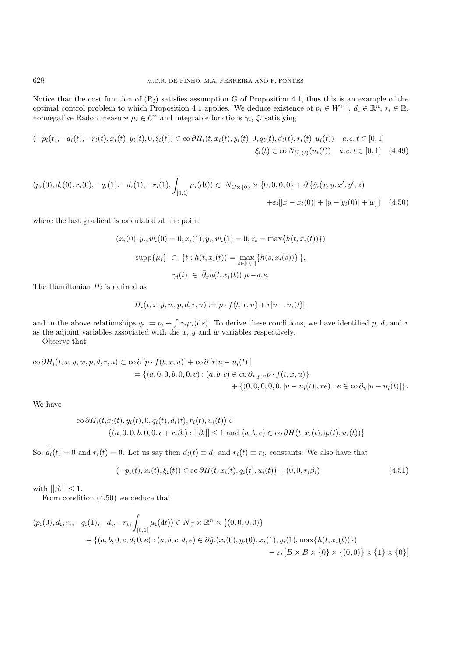Notice that the cost function of  $(R_i)$  satisfies assumption G of Proposition 4.1, thus this is an example of the optimal control problem to which Proposition 4.1 applies. We deduce existence of  $p_i \in W^{1,1}$ ,  $d_i \in \mathbb{R}^n$ ,  $r_i \in \mathbb{R}$ , nonnegative Radon measure  $\mu_i \in C^*$  and integrable functions  $\gamma_i$ ,  $\xi_i$  satisfying

$$
(-\dot{p}_i(t), -\dot{d}_i(t), -\dot{r}_i(t), \dot{x}_i(t), \dot{y}_i(t), 0, \xi_i(t)) \in \text{co }\partial H_i(t, x_i(t), y_i(t), 0, q_i(t), d_i(t), r_i(t), u_i(t)) \quad a.e. \ t \in [0, 1] \tag{4.49}
$$
\n
$$
\xi_i(t) \in \text{co } N_{U_{\varepsilon}(t)}(u_i(t)) \quad a.e. \ t \in [0, 1] \tag{4.49}
$$

$$
(p_i(0), d_i(0), r_i(0), -q_i(1), -d_i(1), -r_i(1), \int_{[0,1]} \mu_i(dt)) \in N_{C \times \{0\}} \times \{0, 0, 0, 0\} + \partial \{\tilde{g}_i(x, y, x', y', z) + \varepsilon_i[|x - x_i(0)| + |y - y_i(0)| + w]\}
$$
(4.50)

where the last gradient is calculated at the point

$$
(x_i(0), y_i, w_i(0) = 0, x_i(1), y_i, w_i(1) = 0, z_i = \max\{h(t, x_i(t))\})
$$

$$
\sup p\{\mu_i\} \subset \{t : h(t, x_i(t)) = \max_{s \in [0,1]} \{h(s, x_i(s))\}\},\
$$

$$
\gamma_i(t) \in \bar{\partial}_x h(t, x_i(t)) \mu - a.e.
$$

The Hamiltonian  $H_i$  is defined as

$$
H_i(t, x, y, w, p, d, r, u) := p \cdot f(t, x, u) + r|u - u_i(t)|,
$$

and in the above relationships  $q_i := p_i + \int \gamma_i \mu_i(ds)$ . To derive these conditions, we have identified p, d, and r as the adjoint variables associated with the  $x, y$  and  $w$  variables respectively.

Observe that

$$
\begin{aligned}\n\text{co }\partial H_i(t, x, y, w, p, d, r, u) &\subset \text{co }\partial [p \cdot f(t, x, u)] + \text{co }\partial [r|u - u_i(t)|] \\
&= \{(a, 0, 0, b, 0, 0, c) : (a, b, c) \in \text{co }\partial_{x, p, u} p \cdot f(t, x, u)\} \\
&\quad + \{(0, 0, 0, 0, 0, |u - u_i(t)|, r e) : e \in \text{co }\partial_u |u - u_i(t)|\}.\n\end{aligned}
$$

We have

$$
\text{co }\partial H_i(t, x_i(t), y_i(t), 0, q_i(t), d_i(t), r_i(t), u_i(t)) \subset
$$
  

$$
\{(a, 0, 0, b, 0, 0, c + r_i\beta_i) : ||\beta_i|| \le 1 \text{ and } (a, b, c) \in \text{co }\partial H(t, x_i(t), q_i(t), u_i(t))\}
$$

So,  $\dot{d}_i(t) = 0$  and  $\dot{r}_i(t) = 0$ . Let us say then  $d_i(t) \equiv d_i$  and  $r_i(t) \equiv r_i$ , constants. We also have that

$$
(-\dot{p}_i(t), \dot{x}_i(t), \xi_i(t)) \in \text{co }\partial H(t, x_i(t), q_i(t), u_i(t)) + (0, 0, r_i \beta_i)
$$
\n(4.51)

with  $||\beta_i|| \leq 1$ .

From condition (4.50) we deduce that

$$
(p_i(0), d_i, r_i, -q_i(1), -d_i, -r_i, \int_{[0,1]} \mu_i(dt)) \in N_C \times \mathbb{R}^n \times \{ (0, 0, 0, 0) \}
$$
  
+ 
$$
\{ (a, b, 0, c, d, 0, e) : (a, b, c, d, e) \in \partial \tilde{g}_i(x_i(0), y_i(0), x_i(1), y_i(1), \max\{ h(t, x_i(t)) \})
$$
  
+ 
$$
\varepsilon_i [B \times B \times \{ 0 \} \times \{ (0, 0) \} \times \{ 1 \} \times \{ 0 \}]
$$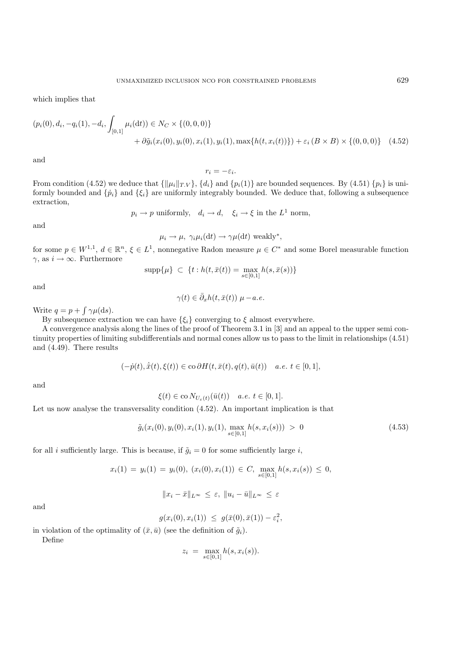which implies that

$$
(p_i(0), d_i, -q_i(1), -d_i, \int_{[0,1]} \mu_i(dt)) \in N_C \times \{(0,0,0)\}\n+ \partial \tilde{g}_i(x_i(0), y_i(0), x_i(1), y_i(1), \max\{h(t, x_i(t))\}) + \varepsilon_i (B \times B) \times \{(0,0,0)\} \tag{4.52}
$$

and

 $r_i = -\varepsilon_i.$ 

From condition (4.52) we deduce that  $\{\|\mu_i\|_{T,V}\}, \{d_i\}$  and  $\{p_i(1)\}\$  are bounded sequences. By (4.51)  $\{p_i\}$  is uniformly bounded and  $\{\dot{p}_i\}$  and  $\{\xi_i\}$  are uniformly integrably bounded. We deduce that, following a subsequence extraction,

 $p_i \to p$  uniformly,  $d_i \to d$ ,  $\xi_i \to \xi$  in the  $L^1$  norm,

and

$$
\mu_i \to \mu
$$
,  $\gamma_i \mu_i(\mathrm{d}t) \to \gamma \mu(\mathrm{d}t)$  weakly<sup>\*</sup>,

for some  $p \in W^{1,1}, d \in \mathbb{R}^n, \xi \in L^1$ , nonnegative Radon measure  $\mu \in C^*$  and some Borel measurable function  $\gamma$ , as  $i \to \infty$ . Furthermore

$$
\text{supp}\{\mu\}\ \subset\ \{t: h(t,\bar{x}(t)) = \max_{s\in[0,1]} h(s,\bar{x}(s))\}
$$

and

$$
\gamma(t) \in \bar{\partial}_x h(t, \bar{x}(t)) \mu - a.e.
$$

Write  $q = p + \int \gamma \mu(ds)$ .

By subsequence extraction we can have  $\{\xi_i\}$  converging to  $\xi$  almost everywhere.

A convergence analysis along the lines of the proof of Theorem 3.1 in [3] and an appeal to the upper semi continuity properties of limiting subdifferentials and normal cones allow us to pass to the limit in relationships (4.51) and (4.49). There results

$$
(-\dot{p}(t), \dot{\bar{x}}(t), \xi(t)) \in \text{co }\partial H(t, \bar{x}(t), q(t), \bar{u}(t)) \quad a.e. \ t \in [0, 1],
$$

and

$$
\xi(t) \in \text{co}\, N_{U_{\varepsilon}(t)}(\bar{u}(t)) \quad a.e. \ t \in [0,1].
$$

Let us now analyse the transversality condition (4.52). An important implication is that

$$
\tilde{g}_i(x_i(0), y_i(0), x_i(1), y_i(1), \max_{s \in [0,1]} h(s, x_i(s))) > 0
$$
\n(4.53)

for all i sufficiently large. This is because, if  $\tilde{g}_i = 0$  for some sufficiently large i,

$$
x_i(1) = y_i(1) = y_i(0), (x_i(0), x_i(1)) \in C, \max_{s \in [0,1]} h(s, x_i(s)) \le 0,
$$

$$
||x_i - \bar{x}||_{L^{\infty}} \leq \varepsilon, ||u_i - \bar{u}||_{L^{\infty}} \leq \varepsilon
$$

and

$$
g(x_i(0), x_i(1)) \le g(\bar{x}(0), \bar{x}(1)) - \varepsilon_i^2,
$$

in violation of the optimality of  $(\bar{x}, \bar{u})$  (see the definition of  $\tilde{g}_i$ ).

Define

$$
z_i = \max_{s \in [0,1]} h(s, x_i(s)).
$$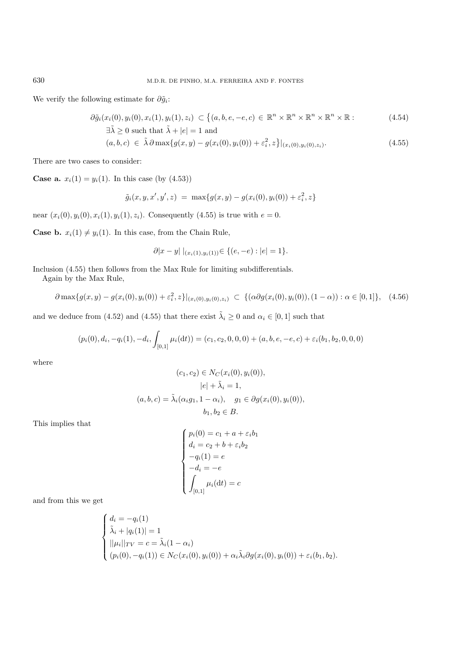We verify the following estimate for  $\partial \tilde{g}_i$ :

$$
\partial \tilde{g}_i(x_i(0), y_i(0), x_i(1), y_i(1), z_i) \subset \left\{ (a, b, e, -e, c) \in \mathbb{R}^n \times \mathbb{R}^n \times \mathbb{R}^n \times \mathbb{R}^n \times \mathbb{R} \right\}.
$$
\n
$$
\exists \tilde{\lambda} \ge 0 \text{ such that } \tilde{\lambda} + |e| = 1 \text{ and}
$$
\n(4.54)

$$
(a, b, c) \in \tilde{\lambda} \partial \max \{ g(x, y) - g(x_i(0), y_i(0)) + \varepsilon_i^2, z \} |_{(x_i(0), y_i(0), z_i)}.
$$
\n(4.55)

There are two cases to consider:

**Case a.**  $x_i(1) = y_i(1)$ . In this case (by  $(4.53)$ )

$$
\tilde{g}_i(x, y, x', y', z) = \max\{g(x, y) - g(x_i(0), y_i(0)) + \varepsilon_i^2, z\}
$$

near  $(x_i(0), y_i(0), x_i(1), y_i(1), z_i)$ . Consequently (4.55) is true with  $e = 0$ .

**Case b.**  $x_i(1) \neq y_i(1)$ . In this case, from the Chain Rule,

$$
\partial |x - y| \mid_{(x_i(1), y_i(1))} \in \{ (e, -e) : |e| = 1 \}.
$$

Inclusion (4.55) then follows from the Max Rule for limiting subdifferentials.

Again by the Max Rule,

$$
\partial \max\{g(x,y) - g(x_i(0), y_i(0)) + \varepsilon_i^2, z\}|_{(x_i(0), y_i(0), z_i)} \subset \{(\alpha \partial g(x_i(0), y_i(0)), (1-\alpha)) : \alpha \in [0,1]\}, \quad (4.56)
$$

and we deduce from (4.52) and (4.55) that there exist  $\tilde{\lambda}_i \ge 0$  and  $\alpha_i \in [0,1]$  such that

$$
(p_i(0), d_i, -q_i(1), -d_i, \int_{[0,1]} \mu_i(\mathrm{d}t)) = (c_1, c_2, 0, 0, 0) + (a, b, e, -e, c) + \varepsilon_i(b_1, b_2, 0, 0, 0)
$$

where

$$
(c_1, c_2) \in N_C(x_i(0), y_i(0)),
$$
  

$$
|e| + \tilde{\lambda}_i = 1,
$$
  

$$
(a, b, c) = \tilde{\lambda}_i(\alpha_i g_1, 1 - \alpha_i), \quad g_1 \in \partial g(x_i(0), y_i(0)),
$$
  

$$
b_1, b_2 \in B.
$$

This implies that

$$
\begin{cases}\np_i(0) = c_1 + a + \varepsilon_i b_1 \\
d_i = c_2 + b + \varepsilon_i b_2 \\
-q_i(1) = e \\
-d_i = -e \\
\int_{[0,1]} \mu_i(\mathrm{d}t) = c\n\end{cases}
$$

and from this we get

$$
\begin{cases}\nd_i = -q_i(1) \\
\tilde{\lambda}_i + |q_i(1)| = 1 \\
||\mu_i||_{TV} = c = \tilde{\lambda}_i(1 - \alpha_i) \\
(p_i(0), -q_i(1)) \in N_C(x_i(0), y_i(0)) + \alpha_i \tilde{\lambda}_i \partial g(x_i(0), y_i(0)) + \varepsilon_i(b_1, b_2).\n\end{cases}
$$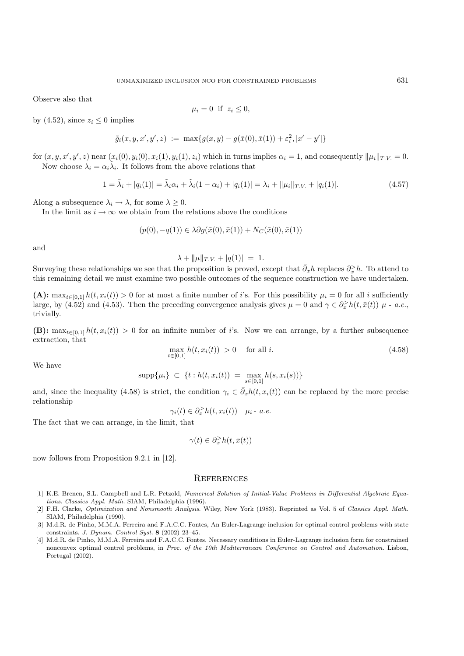Observe also that

$$
\mu_i = 0 \ \text{if} \ z_i \le 0,
$$

by (4.52), since  $z_i \leq 0$  implies

$$
\tilde{g}_i(x, y, x', y', z) := \max\{g(x, y) - g(\bar{x}(0), \bar{x}(1)) + \varepsilon_i^2, |x' - y'|\}
$$

for  $(x, y, x', y', z)$  near  $(x_i(0), y_i(0), x_i(1), y_i(1), z_i)$  which in turns implies  $\alpha_i = 1$ , and consequently  $\|\mu_i\|_{T.V.} = 0$ . Now choose  $\lambda_i = \alpha_i \tilde{\lambda}_i$ . It follows from the above relations that

$$
1 = \tilde{\lambda}_i + |q_i(1)| = \tilde{\lambda}_i \alpha_i + \tilde{\lambda}_i (1 - \alpha_i) + |q_i(1)| = \lambda_i + ||\mu_i||_{T.V.} + |q_i(1)|.
$$
\n(4.57)

Along a subsequence  $\lambda_i \to \lambda$ , for some  $\lambda \geq 0$ .

In the limit as  $i \to \infty$  we obtain from the relations above the conditions

$$
(p(0), -q(1)) \in \lambda \partial g(\bar{x}(0), \bar{x}(1)) + N_C(\bar{x}(0), \bar{x}(1))
$$

and

$$
\lambda + \|\mu\|_{T.V.} + |q(1)| = 1.
$$

Surveying these relationships we see that the proposition is proved, except that  $\bar{\partial}_x h$  replaces  $\partial_x^> h$ . To attend to this remaining detail we must examine two possible outcomes of the sequence construction we have u this remaining detail we must examine two possible outcomes of the sequence construction we have undertaken.

(A):  $\max_{t\in[0,1]} h(t, x_i(t)) > 0$  for at most a finite number of i's. For this possibility  $\mu_i = 0$  for all i sufficiently large, by (4.52) and (4.53). Then the preceding convergence analysis gives  $\mu = 0$  and  $\gamma \in \partial_x^> h(t, \bar{x}(t))$   $\mu$  - *a.e.*, trivially trivially.

**(B):** max<sub>t∈[0,1]</sub>  $h(t, x_i(t)) > 0$  for an infinite number of i's. Now we can arrange, by a further subsequence extraction, that

$$
\max_{t \in [0,1]} h(t, x_i(t)) > 0 \quad \text{ for all } i.
$$
\n(4.58)

We have

$$
\mathrm{supp}\{\mu_i\} \ \subset \ \{t : h(t, x_i(t)) \ = \max_{s \in [0,1]} h(s, x_i(s))\}
$$

and, since the inequality (4.58) is strict, the condition  $\gamma_i \in \bar{\partial}_x h(t, x_i(t))$  can be replaced by the more precise relationship

$$
\gamma_i(t) \in \partial_x^> h(t, x_i(t)) \quad \mu_i \text{ - a.e.}
$$

The fact that we can arrange, in the limit, that

$$
\gamma(t) \in \partial_x^> h(t, \bar{x}(t))
$$

now follows from Proposition 9.2.1 in [12].

#### **REFERENCES**

- [1] K.E. Brenen, S.L. Campbell and L.R. Petzold, Numerical Solution of Initial-Value Problems in Differential Algebraic Equations. Classics Appl. Math. SIAM, Philadelphia (1996).
- [2] F.H. Clarke, Optimization and Nonsmooth Analysis. Wiley, New York (1983). Reprinted as Vol. 5 of Classics Appl. Math. SIAM, Philadelphia (1990).
- [3] M.d.R. de Pinho, M.M.A. Ferreira and F.A.C.C. Fontes, An Euler-Lagrange inclusion for optimal control problems with state constraints. J. Dynam. Control Syst. **8** (2002) 23–45.
- [4] M.d.R. de Pinho, M.M.A. Ferreira and F.A.C.C. Fontes, Necessary conditions in Euler-Lagrange inclusion form for constrained nonconvex optimal control problems, in Proc. of the 10th Mediterranean Conference on Control and Automation. Lisbon, Portugal (2002).